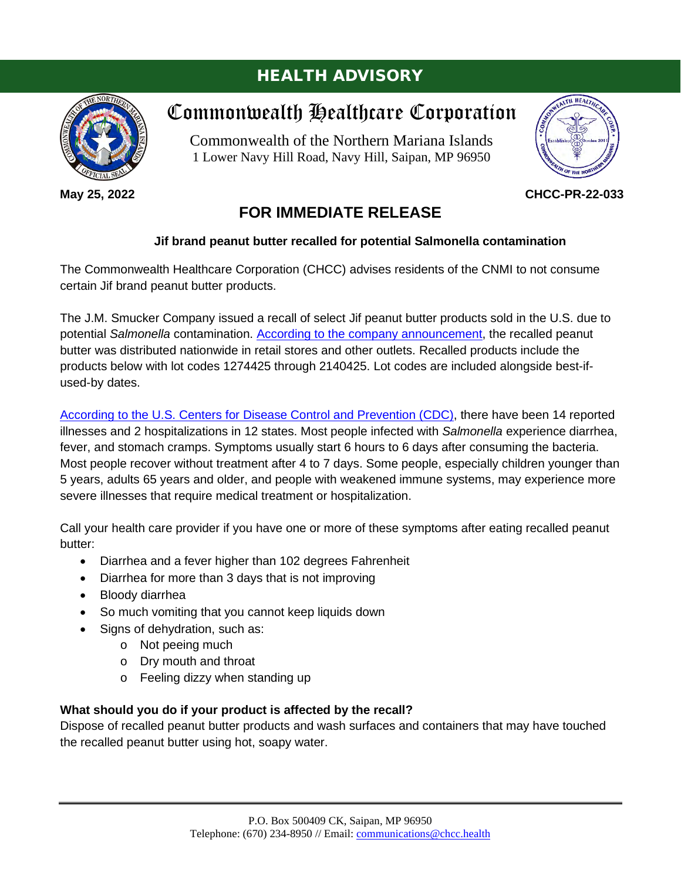## HEALTH ADVISORY



**May 25, 2022**

# Commonwealth Healthcare Corporation

Commonwealth of the Northern Mariana Islands 1 Lower Navy Hill Road, Navy Hill, Saipan, MP 96950



#### **CHCC-PR-22-033**

### **FOR IMMEDIATE RELEASE**

#### **Jif brand peanut butter recalled for potential Salmonella contamination**

The Commonwealth Healthcare Corporation (CHCC) advises residents of the CNMI to not consume certain Jif brand peanut butter products.

The J.M. Smucker Company issued a recall of select Jif peanut butter products sold in the U.S. due to potential *Salmonella* contamination. [According to the company announcement,](https://www.fda.gov/safety/recalls-market-withdrawals-safety-alerts/j-m-smucker-co-issues-voluntary-recall-select-jifr-products-sold-us-potential-salmonella) the recalled peanut butter was distributed nationwide in retail stores and other outlets. Recalled products include the products below with lot codes 1274425 through 2140425. Lot codes are included alongside best-ifused-by dates.

[According to the U.S. Centers for Disease Control and Prevention \(CDC\),](https://www.cdc.gov/salmonella/senftenberg-05-22/index.html) there have been 14 reported illnesses and 2 hospitalizations in 12 states. Most people infected with *Salmonella* experience diarrhea, fever, and stomach cramps. Symptoms usually start 6 hours to 6 days after consuming the bacteria. Most people recover without treatment after 4 to 7 days. Some people, especially children younger than 5 years, adults 65 years and older, and people with weakened immune systems, may experience more severe illnesses that require medical treatment or hospitalization.

Call your health care provider if you have one or more of these symptoms after eating recalled peanut butter:

- Diarrhea and a fever higher than 102 degrees Fahrenheit
- Diarrhea for more than 3 days that is not improving
- Bloody diarrhea
- So much vomiting that you cannot keep liquids down
- Signs of dehydration, such as:
	- o Not peeing much
	- o Dry mouth and throat
	- o Feeling dizzy when standing up

#### **What should you do if your product is affected by the recall?**

Dispose of recalled peanut butter products and wash surfaces and containers that may have touched the recalled peanut butter using hot, soapy water.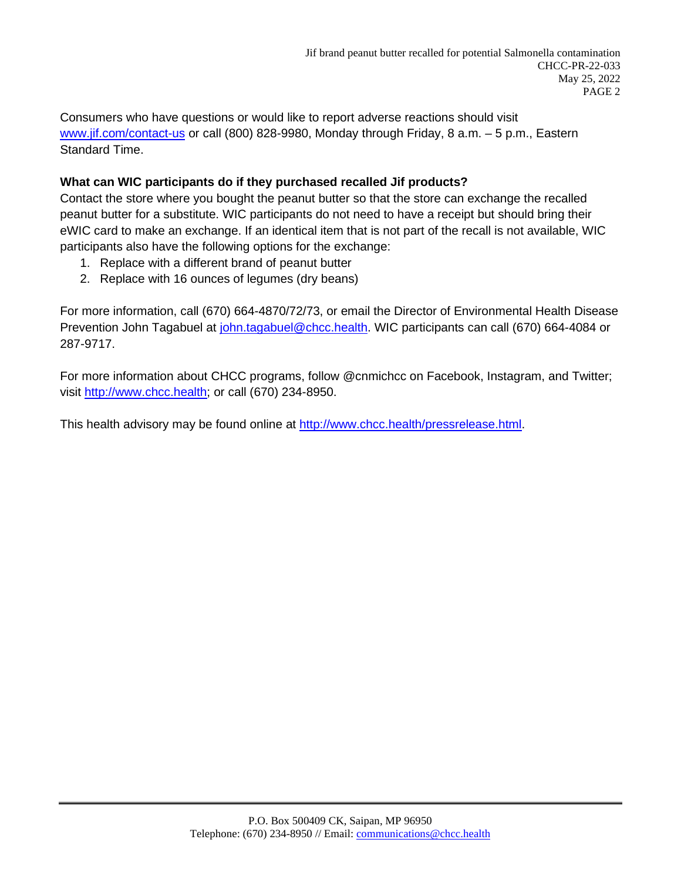Consumers who have questions or would like to report adverse reactions should visit [www.jif.com/contact-us](http://www.jif.com/contact-us) or call (800) 828-9980, Monday through Friday, 8 a.m. – 5 p.m., Eastern Standard Time.

#### **What can WIC participants do if they purchased recalled Jif products?**

Contact the store where you bought the peanut butter so that the store can exchange the recalled peanut butter for a substitute. WIC participants do not need to have a receipt but should bring their eWIC card to make an exchange. If an identical item that is not part of the recall is not available, WIC participants also have the following options for the exchange:

- 1. Replace with a different brand of peanut butter
- 2. Replace with 16 ounces of legumes (dry beans)

For more information, call (670) 664-4870/72/73, or email the Director of Environmental Health Disease Prevention John Tagabuel at *john.tagabuel@chcc.health*. WIC participants can call (670) 664-4084 or 287-9717.

For more information about CHCC programs, follow @cnmichcc on Facebook, Instagram, and Twitter; visit [http://www.chcc.health;](http://www.chcc.health/) or call (670) 234-8950.

This health advisory may be found online at [http://www.chcc.health/pressrelease.html.](http://www.chcc.health/pressrelease.html)